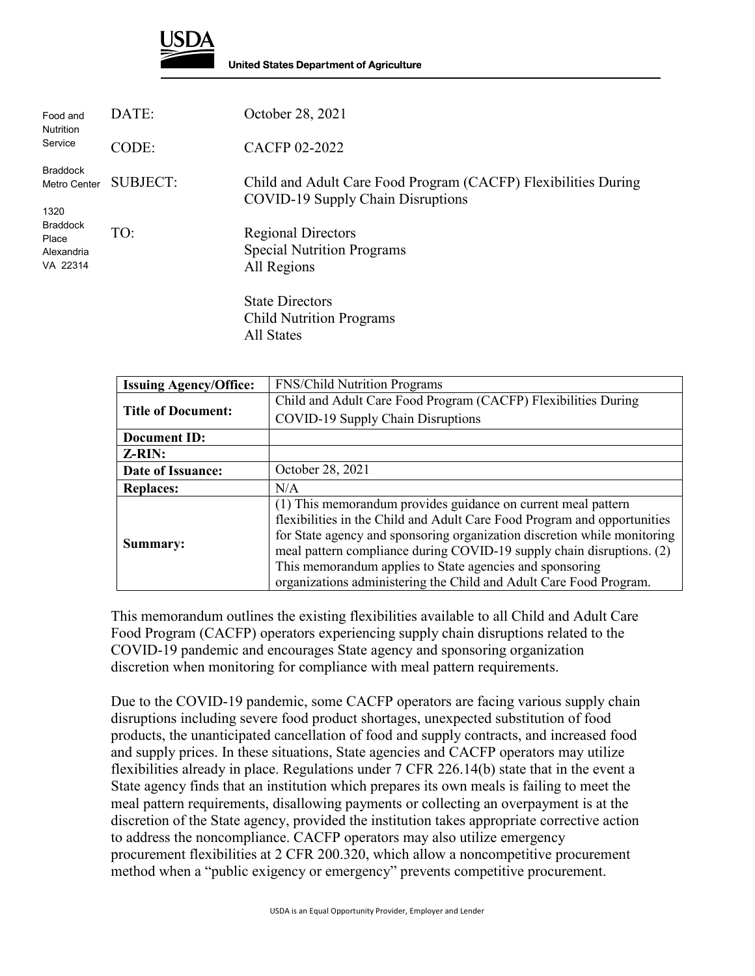

| Food and<br><b>Nutrition</b><br>Service                                                       | DATE:           | October 28, 2021                                                                                    |
|-----------------------------------------------------------------------------------------------|-----------------|-----------------------------------------------------------------------------------------------------|
|                                                                                               | CODE:           | <b>CACFP 02-2022</b>                                                                                |
| <b>Braddock</b><br>Metro Center<br>1320<br><b>Braddock</b><br>Place<br>Alexandria<br>VA 22314 | <b>SUBJECT:</b> | Child and Adult Care Food Program (CACFP) Flexibilities During<br>COVID-19 Supply Chain Disruptions |
|                                                                                               | TO:             | <b>Regional Directors</b><br><b>Special Nutrition Programs</b><br>All Regions                       |
|                                                                                               |                 | <b>State Directors</b><br><b>Child Nutrition Programs</b><br>All States                             |

| <b>Issuing Agency/Office:</b> | <b>FNS/Child Nutrition Programs</b>                                      |
|-------------------------------|--------------------------------------------------------------------------|
|                               | Child and Adult Care Food Program (CACFP) Flexibilities During           |
| <b>Title of Document:</b>     | COVID-19 Supply Chain Disruptions                                        |
| Document ID:                  |                                                                          |
| Z-RIN:                        |                                                                          |
| Date of Issuance:             | October 28, 2021                                                         |
| <b>Replaces:</b>              | N/A                                                                      |
|                               | (1) This memorandum provides guidance on current meal pattern            |
|                               | flexibilities in the Child and Adult Care Food Program and opportunities |
|                               | for State agency and sponsoring organization discretion while monitoring |
| Summary:                      | meal pattern compliance during COVID-19 supply chain disruptions. (2)    |
|                               | This memorandum applies to State agencies and sponsoring                 |
|                               | organizations administering the Child and Adult Care Food Program.       |

This memorandum outlines the existing flexibilities available to all Child and Adult Care Food Program (CACFP) operators experiencing supply chain disruptions related to the COVID-19 pandemic and encourages State agency and sponsoring organization discretion when monitoring for compliance with meal pattern requirements.

Due to the COVID-19 pandemic, some CACFP operators are facing various supply chain disruptions including severe food product shortages, unexpected substitution of food products, the unanticipated cancellation of food and supply contracts, and increased food and supply prices. In these situations, State agencies and CACFP operators may utilize flexibilities already in place. Regulations under 7 CFR 226.14(b) state that in the event a State agency finds that an institution which prepares its own meals is failing to meet the meal pattern requirements, disallowing payments or collecting an overpayment is at the discretion of the State agency, provided the institution takes appropriate corrective action to address the noncompliance. CACFP operators may also utilize emergency procurement flexibilities at 2 CFR 200.320, which allow a noncompetitive procurement method when a "public exigency or emergency" prevents competitive procurement.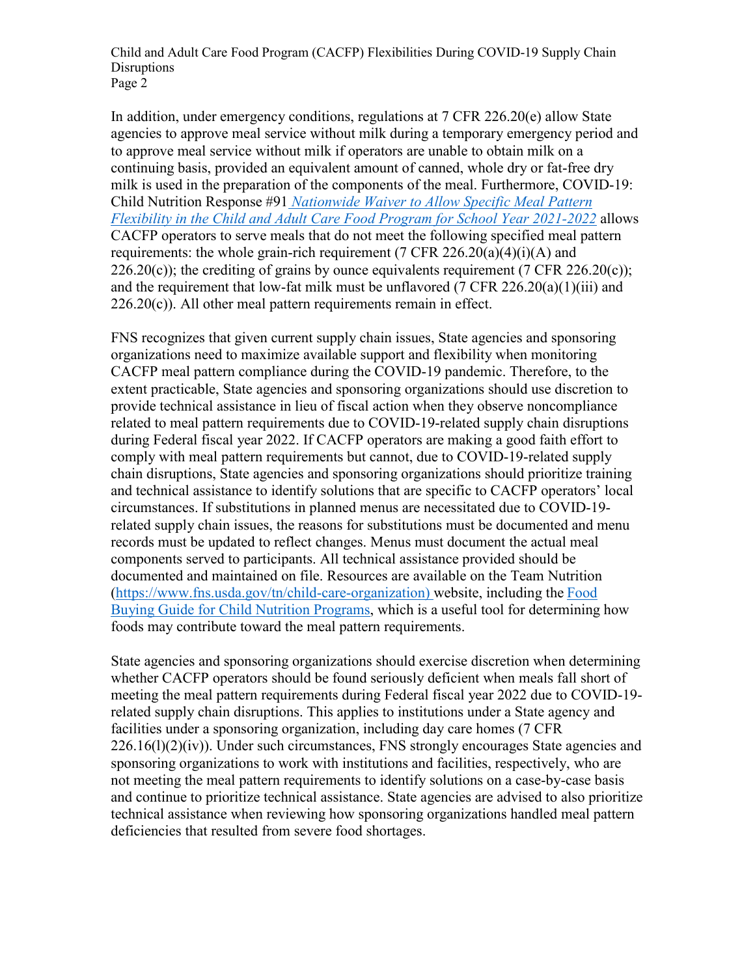Child and Adult Care Food Program (CACFP) Flexibilities During COVID-19 Supply Chain **Disruptions** Page 2

In addition, under emergency conditions, regulations at 7 CFR 226.20(e) allow State agencies to approve meal service without milk during a temporary emergency period and to approve meal service without milk if operators are unable to obtain milk on a continuing basis, provided an equivalent amount of canned, whole dry or fat-free dry milk is used in the preparation of the components of the meal. Furthermore, [COVID-19:](https://www.fns.usda.gov/cn/child-nutrition-response-91)  Child Nutrition Response #91 *[Nationwide Waiver to Allow Specific Meal Pattern](https://www.fns.usda.gov/cn/child-nutrition-response-91)  [Flexibility in the Child and Adult Care Food Program for School Year 2021-2022](https://www.fns.usda.gov/cn/child-nutrition-response-91)* allows CACFP operators to serve meals that do not meet the following specified meal pattern requirements: the whole grain-rich requirement (7 CFR 226.20(a)(4)(i)(A) and  $226.20(c)$ ; the crediting of grains by ounce equivalents requirement (7 CFR 226.20(c)); and the requirement that low-fat milk must be unflavored (7 CFR 226.20(a)(1)(iii) and  $226.20(c)$ ). All other meal pattern requirements remain in effect.

FNS recognizes that given current supply chain issues, State agencies and sponsoring organizations need to maximize available support and flexibility when monitoring CACFP meal pattern compliance during the COVID-19 pandemic. Therefore, to the extent practicable, State agencies and sponsoring organizations should use discretion to provide technical assistance in lieu of fiscal action when they observe noncompliance related to meal pattern requirements due to COVID-19-related supply chain disruptions during Federal fiscal year 2022. If CACFP operators are making a good faith effort to comply with meal pattern requirements but cannot, due to COVID-19-related supply chain disruptions, State agencies and sponsoring organizations should prioritize training and technical assistance to identify solutions that are specific to CACFP operators' local circumstances. If substitutions in planned menus are necessitated due to COVID-19 related supply chain issues, the reasons for substitutions must be documented and menu records must be updated to reflect changes. Menus must document the actual meal components served to participants. All technical assistance provided should be documented and maintained on file. Resources are available on the Team Nutrition [\(https://www.fns.usda.gov/tn/child-care-organization\)](https://www.fns.usda.gov/tn/child-care-organization) website, including the [Food](https://foodbuyingguide.fns.usda.gov/)  [Buying Guide for Child Nutrition Programs,](https://foodbuyingguide.fns.usda.gov/) which is a useful tool for determining how foods may contribute toward the meal pattern requirements.

State agencies and sponsoring organizations should exercise discretion when determining whether CACFP operators should be found seriously deficient when meals fall short of meeting the meal pattern requirements during Federal fiscal year 2022 due to COVID-19 related supply chain disruptions. This applies to institutions under a State agency and facilities under a sponsoring organization, including day care homes (7 CFR  $226.16(1)(2)(iv)$ ). Under such circumstances, FNS strongly encourages State agencies and sponsoring organizations to work with institutions and facilities, respectively, who are not meeting the meal pattern requirements to identify solutions on a case-by-case basis and continue to prioritize technical assistance. State agencies are advised to also prioritize technical assistance when reviewing how sponsoring organizations handled meal pattern deficiencies that resulted from severe food shortages.